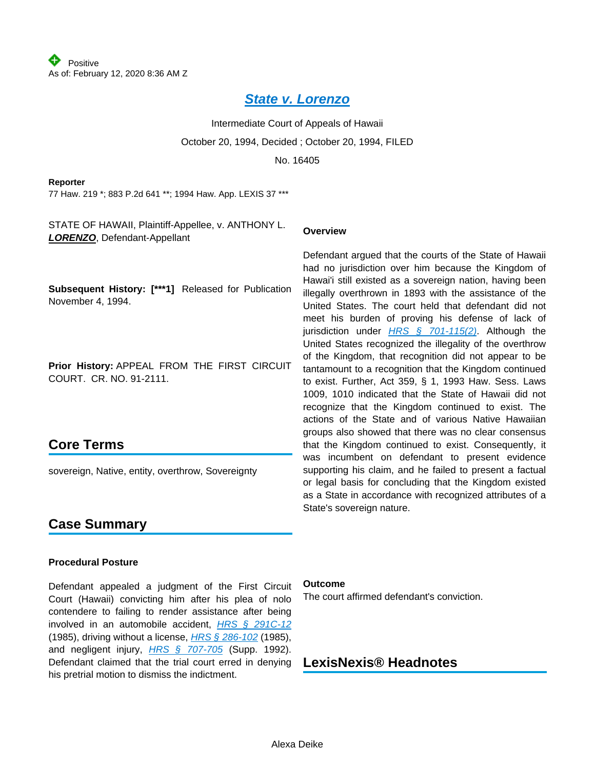### **[State v. Lorenzo](https://advance.lexis.com/api/document?collection=cases&id=urn:contentItem:3RX4-1TR0-003F-G3KM-00000-00&context=)**

Intermediate Court of Appeals of Hawaii October 20, 1994, Decided ; October 20, 1994, FILED No. 16405

#### **Reporter**

77 Haw. 219 \*; 883 P.2d 641 \*\*; 1994 Haw. App. LEXIS 37 \*\*\*

STATE OF HAWAII, Plaintiff-Appellee, v. ANTHONY L. **LORENZO**, Defendant-Appellant

#### **Subsequent History: [\*\*\*1]** Released for Publication November 4, 1994.

**Prior History:** APPEAL FROM THE FIRST CIRCUIT COURT. CR. NO. 91-2111.

# **Core Terms**

sovereign, Native, entity, overthrow, Sovereignty

#### **Overview**

Defendant argued that the courts of the State of Hawaii had no jurisdiction over him because the Kingdom of Hawai'i still existed as a sovereign nation, having been illegally overthrown in 1893 with the assistance of the United States. The court held that defendant did not meet his burden of proving his defense of lack of jurisdiction under **[HRS § 701-115\(2\)](https://advance.lexis.com/api/document?collection=statutes-legislation&id=urn:contentItem:5B63-3JG1-6M80-408X-00000-00&context=)**. Although the United States recognized the illegality of the overthrow of the Kingdom, that recognition did not appear to be tantamount to a recognition that the Kingdom continued to exist. Further, Act 359, § 1, 1993 Haw. Sess. Laws 1009, 1010 indicated that the State of Hawaii did not recognize that the Kingdom continued to exist. The actions of the State and of various Native Hawaiian groups also showed that there was no clear consensus that the Kingdom continued to exist. Consequently, it was incumbent on defendant to present evidence supporting his claim, and he failed to present a factual or legal basis for concluding that the Kingdom existed as a State in accordance with recognized attributes of a State's sovereign nature.

# **Case Summary**

#### **Procedural Posture**

Defendant appealed a judgment of the First Circuit Court (Hawaii) convicting him after his plea of nolo contendere to failing to render assistance after being involved in an automobile accident, [HRS § 291C-12](https://advance.lexis.com/api/document?collection=statutes-legislation&id=urn:contentItem:5B63-3881-6M80-40HF-00000-00&context=) (1985), driving without a license, [HRS § 286-102](https://advance.lexis.com/api/document?collection=statutes-legislation&id=urn:contentItem:8S5M-GW72-D6RV-H2RW-00000-00&context=) (1985), and negligent injury, [HRS § 707-705](https://advance.lexis.com/api/document?collection=statutes-legislation&id=urn:contentItem:5B63-3JG1-6M80-40RX-00000-00&context=) (Supp. 1992). Defendant claimed that the trial court erred in denying his pretrial motion to dismiss the indictment.

#### **Outcome**

The court affirmed defendant's conviction.

# **LexisNexis® Headnotes**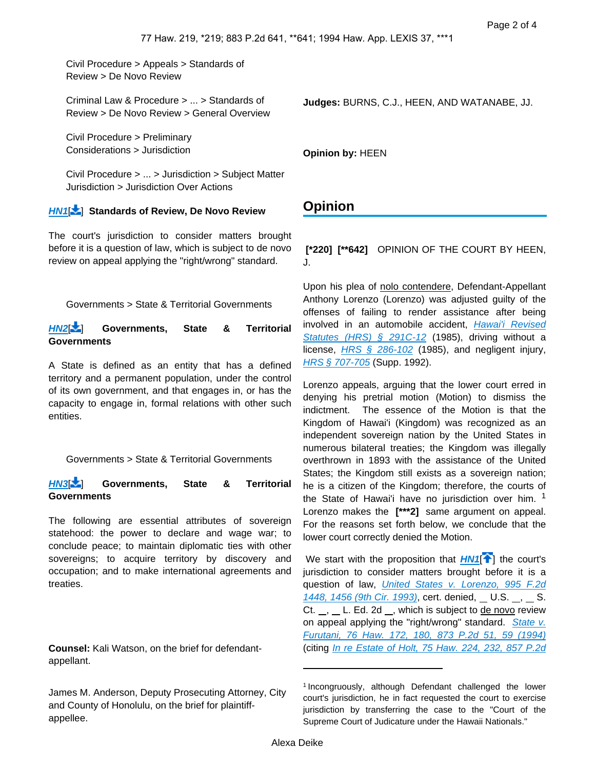Civil Procedure > Appeals > Standards of Review > De Novo Review

Criminal Law & Procedure > ... > Standards of Review > De Novo Review > General Overview

Civil Procedure > Preliminary Considerations > Jurisdiction

Civil Procedure > ... > Jurisdiction > Subject Matter Jurisdiction > Jurisdiction Over Actions

### **[HN1](https://advance.lexis.com/api/document?collection=cases&id=urn:contentItem:3RX4-1TR0-003F-G3KM-00000-00&context=&link=LNHNREFclscc1)**[ ] **Standards of Review, De Novo Review**

The court's jurisdiction to consider matters brought before it is a question of law, which is subject to de novo review on appeal applying the "right/wrong" standard.

Governments > State & Territorial Governments

**[HN2](https://advance.lexis.com/api/document?collection=cases&id=urn:contentItem:3RX4-1TR0-003F-G3KM-00000-00&context=&link=LNHNREFclscc2)**[ ] **Governments, State & Territorial Governments**

A State is defined as an entity that has a defined territory and a permanent population, under the control of its own government, and that engages in, or has the capacity to engage in, formal relations with other such entities.

<span id="page-1-0"></span>Governments > State & Territorial Governments

#### **[HN3](https://advance.lexis.com/api/document?collection=cases&id=urn:contentItem:3RX4-1TR0-003F-G3KM-00000-00&context=&link=LNHNREFclscc3)**[ ] **Governments, State & Territorial Governments**

The following are essential attributes of sovereign statehood: the power to declare and wage war; to conclude peace; to maintain diplomatic ties with other sovereigns; to acquire territory by discovery and occupation; and to make international agreements and treaties.

**Counsel:** Kali Watson, on the brief for defendantappellant.

James M. Anderson, Deputy Prosecuting Attorney, City and County of Honolulu, on the brief for plaintiffappellee.

**Judges:** BURNS, C.J., HEEN, AND WATANABE, JJ.

**Opinion by:** HEEN

### **Opinion**

 **[\*220] [\*\*642]** OPINION OF THE COURT BY HEEN, J.

Upon his plea of nolo contendere, Defendant-Appellant Anthony Lorenzo (Lorenzo) was adjusted guilty of the offenses of failing to render assistance after being involved in an automobile accident, Hawai'i Revised [Statutes \(HRS\) § 291C-12](https://advance.lexis.com/api/document?collection=statutes-legislation&id=urn:contentItem:5B63-3881-6M80-40HF-00000-00&context=) (1985), driving without a license,  $HRS \, \S$  286-102 (1985), and negligent injury, [HRS § 707-705](https://advance.lexis.com/api/document?collection=statutes-legislation&id=urn:contentItem:5B63-3JG1-6M80-40RX-00000-00&context=) (Supp. 1992).

Lorenzo appeals, arguing that the lower court erred in denying his pretrial motion (Motion) to dismiss the indictment. The essence of the Motion is that the Kingdom of Hawai'i (Kingdom) was recognized as an independent sovereign nation by the United States in numerous bilateral treaties; the Kingdom was illegally overthrown in 1893 with the assistance of the United States; the Kingdom still exists as a sovereign nation; he is a citizen of the Kingdom; therefore, the courts of the State of Hawai'i have no jurisdiction over him. <sup>1</sup> Lorenzo makes the **[\*\*\*2]** same argument on appeal. For the reasons set forth below, we conclude that the lower court correctly denied the Motion.

We start with the proposition that  $HM1$ <sup>[1]</sup> the court's jurisdiction to consider matters brought before it is a question of law, United States v. Lorenzo, 995 F.2d [1448, 1456 \(9th Cir. 1993\)](https://advance.lexis.com/api/document?collection=cases&id=urn:contentItem:3S4X-GFW0-003B-P2S0-00000-00&context=), cert. denied, U.S. , S. Ct.  $\Box$ ,  $\Box$  L. Ed. 2d  $\Box$ , which is subject to de novo review on appeal applying the "right/wrong" standard. State v. [Furutani, 76 Haw. 172, 180, 873 P.2d 51, 59 \(1994\)](https://advance.lexis.com/api/document?collection=cases&id=urn:contentItem:3RX4-1470-003F-G0D1-00000-00&context=) (citing [In re Estate of Holt, 75 Haw. 224, 232, 857 P.2d](https://advance.lexis.com/api/document?collection=cases&id=urn:contentItem:3RX4-14M0-003F-G0FC-00000-00&context=) 

<sup>&</sup>lt;sup>1</sup> Incongruously, although Defendant challenged the lower court's jurisdiction, he in fact requested the court to exercise jurisdiction by transferring the case to the "Court of the Supreme Court of Judicature under the Hawaii Nationals."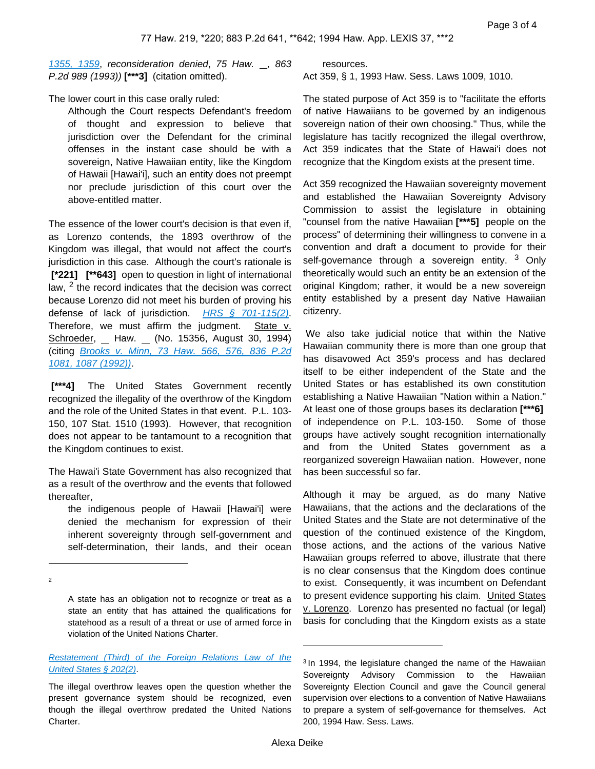[1355, 1359](https://advance.lexis.com/api/document?collection=cases&id=urn:contentItem:3RX4-14M0-003F-G0FC-00000-00&context=), reconsideration denied, 75 Haw.  $\Box$ , 863 P.2d 989 (1993)) **[\*\*\*3]** (citation omitted).

The lower court in this case orally ruled:

Although the Court respects Defendant's freedom of thought and expression to believe that jurisdiction over the Defendant for the criminal offenses in the instant case should be with a sovereign, Native Hawaiian entity, like the Kingdom of Hawaii [Hawai'i], such an entity does not preempt nor preclude jurisdiction of this court over the above-entitled matter.

The essence of the lower court's decision is that even if, as Lorenzo contends, the 1893 overthrow of the Kingdom was illegal, that would not affect the court's jurisdiction in this case. Although the court's rationale is  **[\*221] [\*\*643]** open to question in light of international law,  $<sup>2</sup>$  the record indicates that the decision was correct</sup> because Lorenzo did not meet his burden of proving his defense of lack of jurisdiction. [HRS § 701-115\(2\)](https://advance.lexis.com/api/document?collection=statutes-legislation&id=urn:contentItem:5B63-3JG1-6M80-408X-00000-00&context=). Therefore, we must affirm the judgment. State  $v$ . Schroeder, \_ Haw. \_ (No. 15356, August 30, 1994) (citing [Brooks v. Minn, 73 Haw. 566, 576, 836 P.2d](https://advance.lexis.com/api/document?collection=cases&id=urn:contentItem:3RX4-1570-003F-G0H8-00000-00&context=)  [1081, 1087 \(1992\)\)](https://advance.lexis.com/api/document?collection=cases&id=urn:contentItem:3RX4-1570-003F-G0H8-00000-00&context=).

 **[\*\*\*4]** The United States Government recently recognized the illegality of the overthrow of the Kingdom and the role of the United States in that event. P.L. 103- 150, 107 Stat. 1510 (1993). However, that recognition does not appear to be tantamount to a recognition that the Kingdom continues to exist.

The Hawai'i State Government has also recognized that as a result of the overthrow and the events that followed thereafter,

the indigenous people of Hawaii [Hawai'i] were denied the mechanism for expression of their inherent sovereignty through self-government and self-determination, their lands, and their ocean

A state has an obligation not to recognize or treat as a state an entity that has attained the qualifications for statehood as a result of a threat or use of armed force in violation of the United Nations Charter.

2

resources. Act 359, § 1, 1993 Haw. Sess. Laws 1009, 1010.

The stated purpose of Act 359 is to "facilitate the efforts of native Hawaiians to be governed by an indigenous sovereign nation of their own choosing." Thus, while the legislature has tacitly recognized the illegal overthrow, Act 359 indicates that the State of Hawai'i does not recognize that the Kingdom exists at the present time.

Act 359 recognized the Hawaiian sovereignty movement and established the Hawaiian Sovereignty Advisory Commission to assist the legislature in obtaining "counsel from the native Hawaiian **[\*\*\*5]** people on the process" of determining their willingness to convene in a convention and draft a document to provide for their self-governance through a sovereign entity. <sup>3</sup> Only theoretically would such an entity be an extension of the original Kingdom; rather, it would be a new sovereign entity established by a present day Native Hawaiian citizenry.

 We also take judicial notice that within the Native Hawaiian community there is more than one group that has disavowed Act 359's process and has declared itself to be either independent of the State and the United States or has established its own constitution establishing a Native Hawaiian "Nation within a Nation." At least one of those groups bases its declaration **[\*\*\*6]**  of independence on P.L. 103-150. Some of those groups have actively sought recognition internationally and from the United States government as a reorganized sovereign Hawaiian nation. However, none has been successful so far.

Although it may be argued, as do many Native Hawaiians, that the actions and the declarations of the United States and the State are not determinative of the question of the continued existence of the Kingdom, those actions, and the actions of the various Native Hawaiian groups referred to above, illustrate that there is no clear consensus that the Kingdom does continue to exist. Consequently, it was incumbent on Defendant to present evidence supporting his claim. United States v. Lorenzo. Lorenzo has presented no factual (or legal) basis for concluding that the Kingdom exists as a state

Restatement (Third) of the Foreign Relations Law of the [United States § 202\(2\)](https://advance.lexis.com/api/document?collection=analytical-materials&id=urn:contentItem:42GD-0NV0-00YF-J00H-00000-00&context=).

The illegal overthrow leaves open the question whether the present governance system should be recognized, even though the illegal overthrow predated the United Nations Charter.

<sup>&</sup>lt;sup>3</sup> In 1994, the legislature changed the name of the Hawaiian Sovereignty Advisory Commission to the Hawaiian Sovereignty Election Council and gave the Council general supervision over elections to a convention of Native Hawaiians to prepare a system of self-governance for themselves. Act 200, 1994 Haw. Sess. Laws.